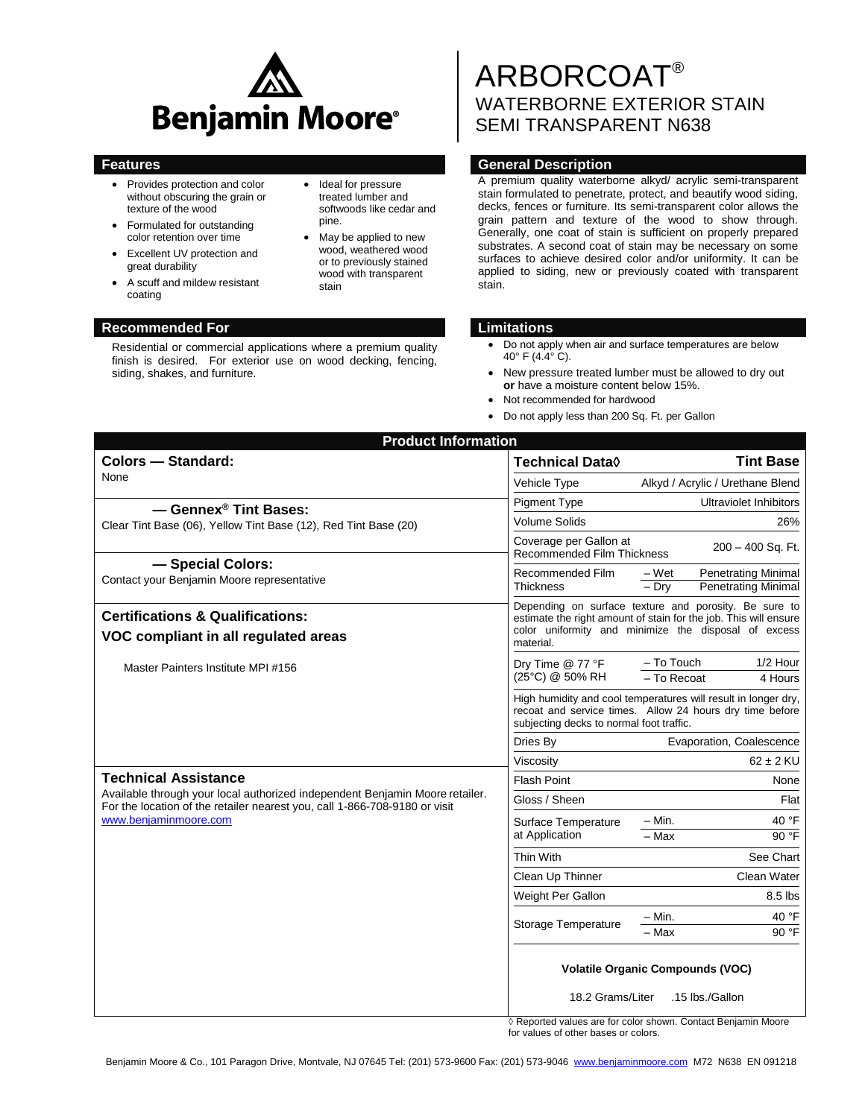

• Ideal for pressure treated lumber and softwoods like cedar and

> May be applied to new wood, weathered wood or to previously stained wood with transparent

pine.

stain

- Provides protection and color without obscuring the grain or texture of the wood
- Formulated for outstanding color retention over time
- Excellent UV protection and great durability
- A scuff and mildew resistant coating

### **Recommended For Limitations**

Residential or commercial applications where a premium quality finish is desired. For exterior use on wood decking, fencing, siding, shakes, and furniture.

# ARBORCOAT® WATERBORNE EXTERIOR STAIN SEMI TRANSPARENT N638

# **Features General Description**

A premium quality waterborne alkyd/ acrylic semi-transparent stain formulated to penetrate, protect, and beautify wood siding, decks, fences or furniture. Its semi-transparent color allows the grain pattern and texture of the wood to show through. Generally, one coat of stain is sufficient on properly prepared substrates. A second coat of stain may be necessary on some surfaces to achieve desired color and/or uniformity. It can be applied to siding, new or previously coated with transparent stain.

- Do not apply when air and surface temperatures are below 40° F (4.4° C).
- New pressure treated lumber must be allowed to dry out **or** have a moisture content below 15%.
- Not recommended for hardwood
- Do not apply less than 200 Sq. Ft. per Gallon

| <b>Product Information</b>                                                                                                                                 |                                                                                                                                                                                                |                                                                              |  |
|------------------------------------------------------------------------------------------------------------------------------------------------------------|------------------------------------------------------------------------------------------------------------------------------------------------------------------------------------------------|------------------------------------------------------------------------------|--|
| <b>Colors - Standard:</b>                                                                                                                                  | Technical Data $\lozenge$                                                                                                                                                                      | <b>Tint Base</b>                                                             |  |
| None                                                                                                                                                       | Vehicle Type                                                                                                                                                                                   | Alkyd / Acrylic / Urethane Blend                                             |  |
| - Gennex <sup>®</sup> Tint Bases:                                                                                                                          | <b>Pigment Type</b>                                                                                                                                                                            | <b>Ultraviolet Inhibitors</b>                                                |  |
| Clear Tint Base (06), Yellow Tint Base (12), Red Tint Base (20)                                                                                            | <b>Volume Solids</b>                                                                                                                                                                           | 26%                                                                          |  |
|                                                                                                                                                            | Coverage per Gallon at<br>200 - 400 Sq. Ft.<br><b>Recommended Film Thickness</b>                                                                                                               |                                                                              |  |
| - Special Colors:<br>Contact your Benjamin Moore representative                                                                                            | Recommended Film<br><b>Thickness</b>                                                                                                                                                           | – Wet<br><b>Penetrating Minimal</b><br>$-$ Drv<br><b>Penetrating Minimal</b> |  |
| <b>Certifications &amp; Qualifications:</b><br>VOC compliant in all regulated areas                                                                        | Depending on surface texture and porosity. Be sure to<br>estimate the right amount of stain for the job. This will ensure<br>color uniformity and minimize the disposal of excess<br>material. |                                                                              |  |
| Master Painters Institute MPI #156                                                                                                                         | Dry Time @ 77 °F<br>(25°C) @ 50% RH                                                                                                                                                            | - To Touch<br>1/2 Hour<br>$-$ To Recoat<br>4 Hours                           |  |
|                                                                                                                                                            | High humidity and cool temperatures will result in longer dry,<br>recoat and service times. Allow 24 hours dry time before<br>subjecting decks to normal foot traffic.                         |                                                                              |  |
|                                                                                                                                                            | Dries By                                                                                                                                                                                       | Evaporation, Coalescence                                                     |  |
|                                                                                                                                                            | Viscosity                                                                                                                                                                                      | $62 \pm 2$ KU                                                                |  |
| <b>Technical Assistance</b>                                                                                                                                | <b>Flash Point</b>                                                                                                                                                                             | None                                                                         |  |
| Available through your local authorized independent Benjamin Moore retailer.<br>For the location of the retailer nearest you, call 1-866-708-9180 or visit | Gloss / Sheen                                                                                                                                                                                  | Flat                                                                         |  |
| www.benjaminmoore.com                                                                                                                                      | Surface Temperature<br>at Application                                                                                                                                                          | $-$ Min.<br>40 °F<br>90°F<br>$-Max$                                          |  |
|                                                                                                                                                            | Thin With                                                                                                                                                                                      | See Chart                                                                    |  |
|                                                                                                                                                            | Clean Up Thinner                                                                                                                                                                               | Clean Water                                                                  |  |
|                                                                                                                                                            | Weight Per Gallon                                                                                                                                                                              | 8.5 lbs                                                                      |  |
|                                                                                                                                                            | Storage Temperature                                                                                                                                                                            | 40 °F<br>$-$ Min.                                                            |  |
|                                                                                                                                                            |                                                                                                                                                                                                | $-$ Max<br>90 °F                                                             |  |
|                                                                                                                                                            | <b>Volatile Organic Compounds (VOC)</b><br>18.2 Grams/Liter<br>.15 lbs./Gallon                                                                                                                 |                                                                              |  |

◊ Reported values are for color shown. Contact Benjamin Moore for values of other bases or colors.